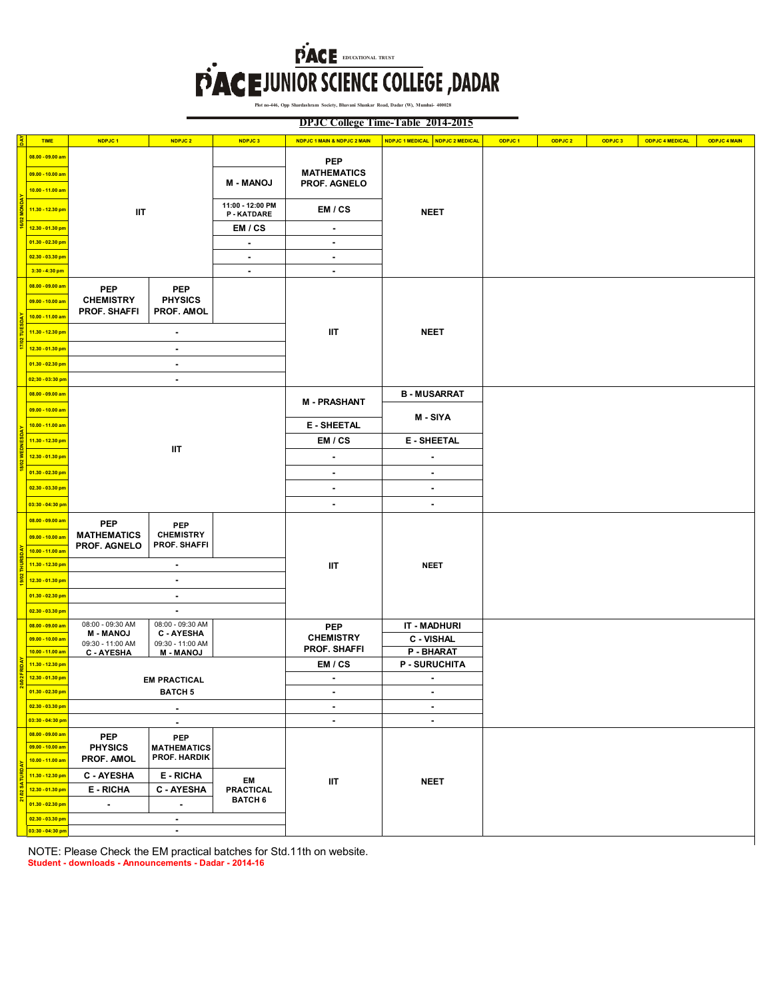## **FACE DURING TO LEGE, DADAR**

**Plot no-446, Opp Shardashram Society, Bhavani Shankar Road, Dadar (W), Mumbai- 400028**

**DPJC College Time-Table 2014-2015**

|  | <b>TIME</b>                                              | NDPJC <sub>1</sub>                                    | NDPJC 2                                                 | NDPJC3                               | NDPJC 1 MAIN & NDPJC 2 MAIN                      | NDPJC 1 MEDICAL NDPJC 2 MEDICAL  | ODPJC <sub>1</sub> | ODPJC 2 | ODPJC <sub>3</sub> | <b>ODPJC 4 MEDICAL</b> | <b>ODPJC 4 MAIN</b> |
|--|----------------------------------------------------------|-------------------------------------------------------|---------------------------------------------------------|--------------------------------------|--------------------------------------------------|----------------------------------|--------------------|---------|--------------------|------------------------|---------------------|
|  | 08.00 - 09.00 am<br>09.00 - 10.00 am<br>10.00 - 11.00 am |                                                       |                                                         | <b>M - MANOJ</b>                     | <b>PEP</b><br><b>MATHEMATICS</b><br>PROF. AGNELO |                                  |                    |         |                    |                        |                     |
|  | 11.30 - 12.30 pm                                         | ШT                                                    |                                                         | 11:00 - 12:00 PM<br><b>P-KATDARE</b> | EM / CS                                          | <b>NEET</b>                      |                    |         |                    |                        |                     |
|  | 12.30 - 01.30 pm                                         | EM / CS                                               |                                                         |                                      | $\blacksquare$                                   |                                  |                    |         |                    |                        |                     |
|  | 01.30 - 02.30 pm                                         |                                                       |                                                         | $\overline{\phantom{a}}$             | $\blacksquare$                                   |                                  |                    |         |                    |                        |                     |
|  | 02.30 - 03.30 pm                                         |                                                       |                                                         | $\blacksquare$                       | $\blacksquare$                                   |                                  |                    |         |                    |                        |                     |
|  | 3:30 - 4:30 pm                                           |                                                       |                                                         | $\blacksquare$                       | $\sim$                                           |                                  |                    |         |                    |                        |                     |
|  | 08.00 - 09.00 am<br>09.00 - 10.00 am<br>10.00 - 11.00 am | <b>PEP</b><br><b>CHEMISTRY</b><br><b>PROF. SHAFFI</b> | <b>PEP</b><br><b>PHYSICS</b><br>PROF. AMOL              |                                      |                                                  |                                  |                    |         |                    |                        |                     |
|  | 11.30 - 12.30 pm                                         | $\overline{\phantom{a}}$                              |                                                         |                                      | ШT                                               | <b>NEET</b>                      |                    |         |                    |                        |                     |
|  | 12.30 - 01.30 pm                                         | $\blacksquare$                                        |                                                         |                                      |                                                  |                                  |                    |         |                    |                        |                     |
|  | 01.30 - 02.30 pm                                         | $\blacksquare$                                        |                                                         |                                      |                                                  |                                  |                    |         |                    |                        |                     |
|  | 02;30 - 03:30 pn                                         | ٠                                                     |                                                         |                                      |                                                  |                                  |                    |         |                    |                        |                     |
|  | 08.00 - 09.00 am<br>09.00 - 10.00 am                     | ШT                                                    |                                                         |                                      | <b>M-PRASHANT</b>                                | <b>B-MUSARRAT</b>                |                    |         |                    |                        |                     |
|  | 10.00 - 11.00 am                                         |                                                       |                                                         |                                      | <b>E-SHEETAL</b>                                 | M - SIYA                         |                    |         |                    |                        |                     |
|  | 11.30 - 12.30 pm                                         |                                                       |                                                         |                                      | EM / CS                                          | <b>E-SHEETAL</b>                 |                    |         |                    |                        |                     |
|  | 12.30 - 01.30 pm                                         |                                                       |                                                         |                                      | ٠                                                | $\overline{\phantom{a}}$         |                    |         |                    |                        |                     |
|  | 01.30 - 02.30 pm                                         |                                                       |                                                         |                                      | $\blacksquare$                                   | $\blacksquare$                   |                    |         |                    |                        |                     |
|  | 02.30 - 03.30 pm                                         |                                                       |                                                         |                                      | ٠                                                | ٠                                |                    |         |                    |                        |                     |
|  | 03:30 - 04:30 pn                                         |                                                       |                                                         |                                      |                                                  |                                  |                    |         |                    |                        |                     |
|  |                                                          |                                                       |                                                         |                                      | $\blacksquare$                                   | $\blacksquare$                   |                    |         |                    |                        |                     |
|  | 08.00 - 09.00 am<br>09.00 - 10.00 am<br>10.00 - 11.00 am | <b>PEP</b><br><b>MATHEMATICS</b><br>PROF. AGNELO      | <b>PEP</b><br><b>CHEMISTRY</b><br><b>PROF. SHAFFI</b>   |                                      |                                                  |                                  |                    |         |                    |                        |                     |
|  | 11.30 - 12.30 pm                                         | $\blacksquare$                                        |                                                         |                                      | ШT                                               | <b>NEET</b>                      |                    |         |                    |                        |                     |
|  | 12.30 - 01.30 pm                                         | $\blacksquare$                                        |                                                         |                                      |                                                  |                                  |                    |         |                    |                        |                     |
|  | 01.30 - 02.30 pm                                         | $\blacksquare$                                        |                                                         |                                      |                                                  |                                  |                    |         |                    |                        |                     |
|  | 02.30 - 03.30 pm                                         | $\blacksquare$                                        |                                                         |                                      |                                                  |                                  |                    |         |                    |                        |                     |
|  | 08.00 - 09.00 am                                         | 08:00 - 09:30 AM<br><b>M-MANOJ</b>                    | 08:00 - 09:30 AM<br><b>C-AYESHA</b>                     |                                      | <b>PEP</b>                                       | <b>IT - MADHURI</b>              |                    |         |                    |                        |                     |
|  | 09.00 - 10.00 am                                         | 09:30 - 11:00 AM                                      | 09:30 - 11:00 AM                                        |                                      | <b>CHEMISTRY</b><br><b>PROF. SHAFFI</b>          | <b>C - VISHAL</b>                |                    |         |                    |                        |                     |
|  | 10.00 - 11.00 am<br>11.30 - 12.30 pm                     | C - AYESHA                                            | <b>M-MANOJ</b>                                          |                                      | EM / CS                                          | P - BHARAT<br><b>P-SURUCHITA</b> |                    |         |                    |                        |                     |
|  | 12.30 - 01.30 pm                                         |                                                       |                                                         |                                      | $\blacksquare$                                   | $\blacksquare$                   |                    |         |                    |                        |                     |
|  | $01.30 - 02.30$ pm                                       | <b>EM PRACTICAL</b><br><b>BATCH 5</b>                 |                                                         |                                      |                                                  |                                  |                    |         |                    |                        |                     |
|  | 02.30 - 03.30 pm                                         | $\blacksquare$                                        |                                                         |                                      | $\blacksquare$                                   | $\blacksquare$                   |                    |         |                    |                        |                     |
|  | 03:30 - 04:30 pm                                         | $\blacksquare$                                        |                                                         |                                      | $\blacksquare$                                   | $\blacksquare$                   |                    |         |                    |                        |                     |
|  | 08.00 - 09.00 am<br>09.00 - 10.00 am<br>10.00 - 11.00 am | <b>PEP</b><br><b>PHYSICS</b><br>PROF. AMOL            | <b>PEP</b><br><b>MATHEMATICS</b><br><b>PROF. HARDIK</b> |                                      |                                                  |                                  |                    |         |                    |                        |                     |
|  | 11.30 - 12.30 pm                                         | <b>C-AYESHA</b>                                       | <b>E-RICHA</b><br><b>E-RICHA</b><br><b>C-AYESHA</b>     |                                      | IIT                                              | <b>NEET</b>                      |                    |         |                    |                        |                     |
|  | 12.30 - 01.30 pm                                         |                                                       |                                                         |                                      |                                                  |                                  |                    |         |                    |                        |                     |
|  | 01.30 - 02.30 pm                                         | $\blacksquare$<br>$\overline{a}$                      |                                                         | <b>BATCH 6</b>                       |                                                  |                                  |                    |         |                    |                        |                     |
|  | 02.30 - 03.30 pm                                         | $\blacksquare$                                        |                                                         |                                      |                                                  |                                  |                    |         |                    |                        |                     |
|  | 03:30 - 04:30 pm                                         | $\blacksquare$                                        |                                                         |                                      |                                                  |                                  |                    |         |                    |                        |                     |

**Student - downloads - Announcements - Dadar - 2014-16** NOTE: Please Check the EM practical batches for Std.11th on website.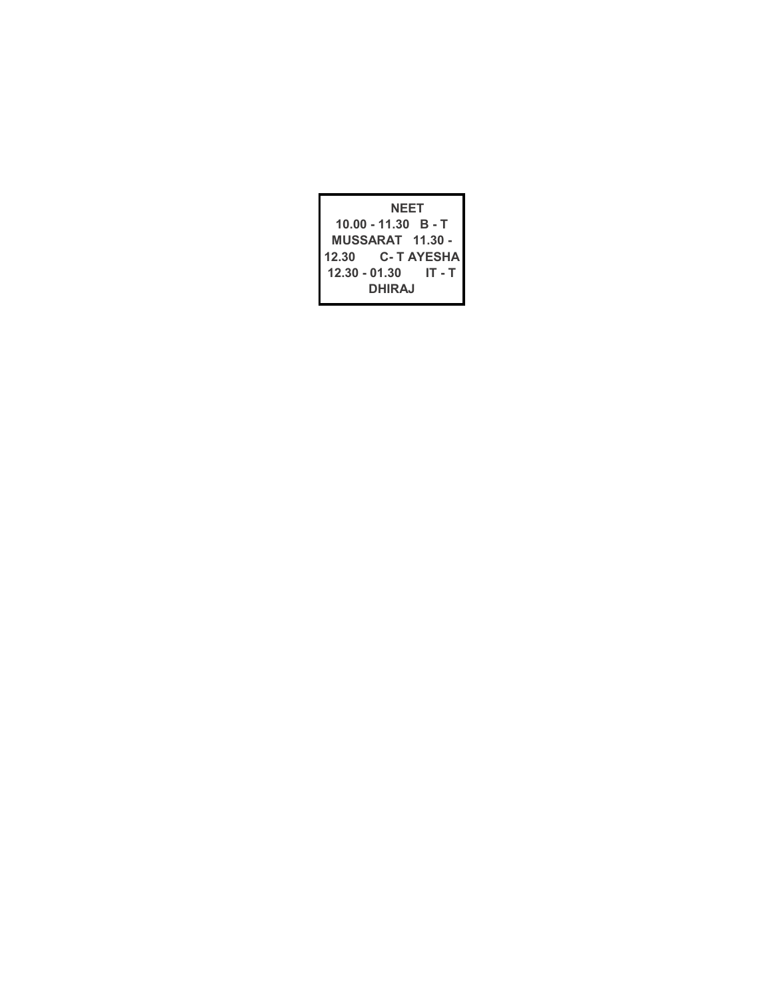| <b>NEET</b>             |                       |                   |  |  |  |  |
|-------------------------|-----------------------|-------------------|--|--|--|--|
|                         | $10.00 - 11.30$ B - T |                   |  |  |  |  |
| <b>MUSSARAT 11.30 -</b> |                       |                   |  |  |  |  |
| 12.30                   |                       | <b>C-T AYESHA</b> |  |  |  |  |
|                         | 12.30 - 01.30         | IT - T            |  |  |  |  |
| DHIRA.I                 |                       |                   |  |  |  |  |